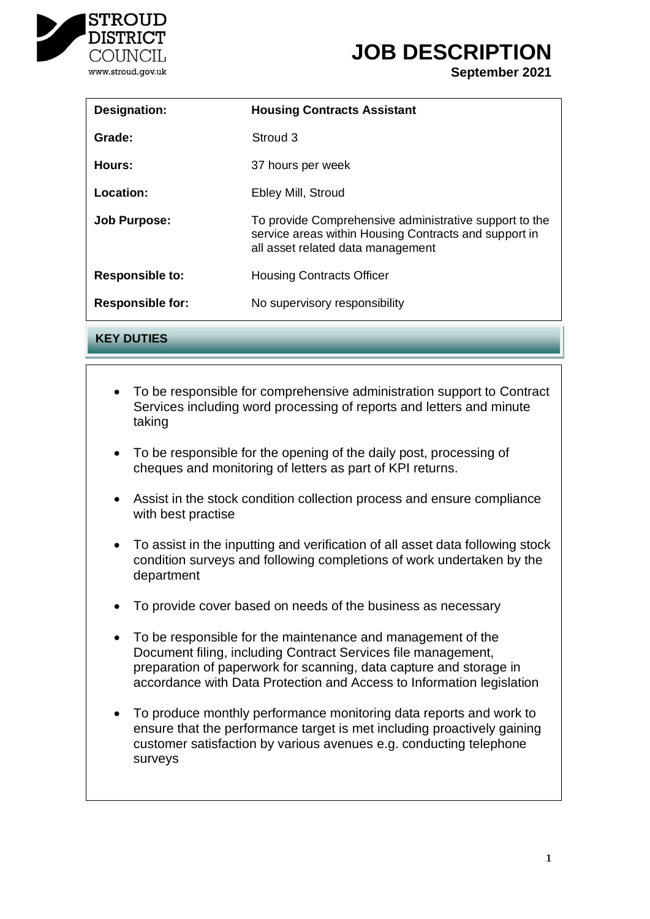

# **JOB DESCRIPTION**

**September 2021**

| <b>Designation:</b>     | <b>Housing Contracts Assistant</b>                                                                                                                   |
|-------------------------|------------------------------------------------------------------------------------------------------------------------------------------------------|
| Grade:                  | Stroud 3                                                                                                                                             |
| Hours:                  | 37 hours per week                                                                                                                                    |
| Location:               | Ebley Mill, Stroud                                                                                                                                   |
| <b>Job Purpose:</b>     | To provide Comprehensive administrative support to the<br>service areas within Housing Contracts and support in<br>all asset related data management |
| <b>Responsible to:</b>  | <b>Housing Contracts Officer</b>                                                                                                                     |
| <b>Responsible for:</b> | No supervisory responsibility                                                                                                                        |
|                         |                                                                                                                                                      |

**KEY DUTIES**

- To be responsible for comprehensive administration support to Contract Services including word processing of reports and letters and minute o Commercial and residential property taking
- To be responsible for the opening of the daily post, processing of ooponoibio ioi li<br>a and manitarin cheques and monitoring of letters as part of KPI returns.
- o Planning Law with best practise  $\mathbb{R}^n$  and increasing levels of  $\mathbb{R}^n$  and increasing levels of  $\mathbb{R}^n$  and increasing levels of  $\mathbb{R}^n$  and increasing levels of  $\mathbb{R}^n$  and increasing levels of  $\mathbb{R}^n$  and increasi • Assist in the stock condition collection process and ensure compliance
- To assist in the inputting and verification of all asset data following stock department and oral presentations of the set of the set of the set of the set of the set of the set of the set o condition surveys and following completions of work undertaken by the
- o Client care and practice support  $\bullet$  To provide cover based on needs of the business as necessary
- o Dispute resolution / negotiation • To be responsible for the maintenance and management of the Document filing, including Contract Services file management, preparation of paperwork for scanning, data capture and storage in accordance with Data Protection and Access to Information legislation
- To produce monthly performance monitoring data reports and work to ensure that the performance target is met including proactively gaining on a water to performance target to met including predetively gaming customer satisfaction by various avenues e.g. conducting telephone<br>curious  $\sigma$   $\sigma$ surveys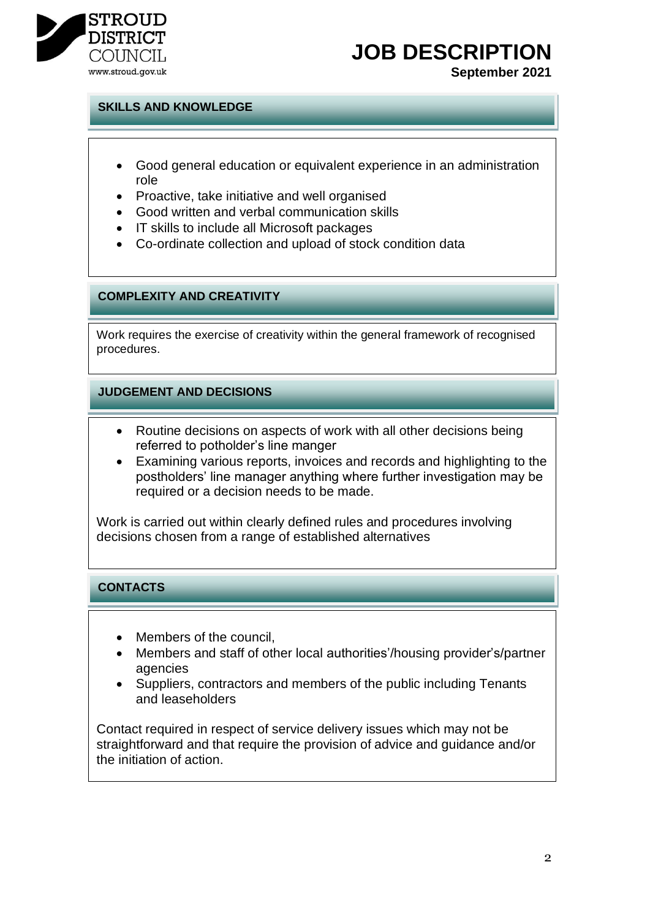

# **JOB DESCRIPTION**

**September 2021**

### **SKILLS AND KNOWLEDGE**

- Good general education or equivalent experience in an administration role
- Proactive, take initiative and well organised
- Good written and verbal communication skills
- IT skills to include all Microsoft packages
- Co-ordinate collection and upload of stock condition data

### **COMPLEXITY AND CREATIVITY**

Work requires the exercise of creativity within the general framework of recognised procedures.

#### **JUDGEMENT AND DECISIONS**

- Routine decisions on aspects of work with all other decisions being referred to potholder's line manger
- Examining various reports, invoices and records and highlighting to the postholders' line manager anything where further investigation may be required or a decision needs to be made.

Work is carried out within clearly defined rules and procedures involving decisions chosen from a range of established alternatives

## **CONTACTS**

- Members of the council,
- Members and staff of other local authorities'/housing provider's/partner agencies
- Suppliers, contractors and members of the public including Tenants and leaseholders

Contact required in respect of service delivery issues which may not be straightforward and that require the provision of advice and guidance and/or the initiation of action.